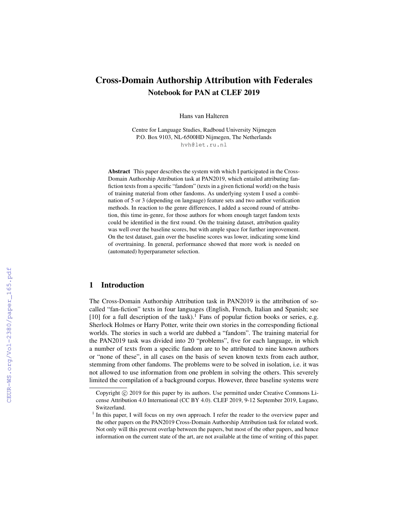# Cross-Domain Authorship Attribution with Federales Notebook for PAN at CLEF 2019

Hans van Halteren

Centre for Language Studies, Radboud University Nijmegen P.O. Box 9103, NL-6500HD Nijmegen, The Netherlands hvh@let.ru.nl

Abstract This paper describes the system with which I participated in the Cross-Domain Authorship Attribution task at PAN2019, which entailed attributing fanfiction texts from a specific "fandom" (texts in a given fictional world) on the basis of training material from other fandoms. As underlying system I used a combination of 5 or 3 (depending on language) feature sets and two author verification methods. In reaction to the genre differences, I added a second round of attribution, this time in-genre, for those authors for whom enough target fandom texts could be identified in the first round. On the training dataset, attribution quality was well over the baseline scores, but with ample space for further improvement. On the test dataset, gain over the baseline scores was lower, indicating some kind of overtraining. In general, performance showed that more work is needed on (automated) hyperparameter selection.

### 1 Introduction

The Cross-Domain Authorship Attribution task in PAN2019 is the attribution of socalled "fan-fiction" texts in four languages (English, French, Italian and Spanish; see [10] for a full description of the task).<sup>1</sup> Fans of popular fiction books or series, e.g. Sherlock Holmes or Harry Potter, write their own stories in the corresponding fictional worlds. The stories in such a world are dubbed a "fandom". The training material for the PAN2019 task was divided into 20 "problems", five for each language, in which a number of texts from a specific fandom are to be attributed to nine known authors or "none of these", in all cases on the basis of seven known texts from each author, stemming from other fandoms. The problems were to be solved in isolation, i.e. it was not allowed to use information from one problem in solving the others. This severely limited the compilation of a background corpus. However, three baseline systems were

Copyright (c) 2019 for this paper by its authors. Use permitted under Creative Commons License Attribution 4.0 International (CC BY 4.0). CLEF 2019, 9-12 September 2019, Lugano, Switzerland.

<sup>&</sup>lt;sup>1</sup> In this paper, I will focus on my own approach. I refer the reader to the overview paper and the other papers on the PAN2019 Cross-Domain Authorship Attribution task for related work. Not only will this prevent overlap between the papers, but most of the other papers, and hence information on the current state of the art, are not available at the time of writing of this paper.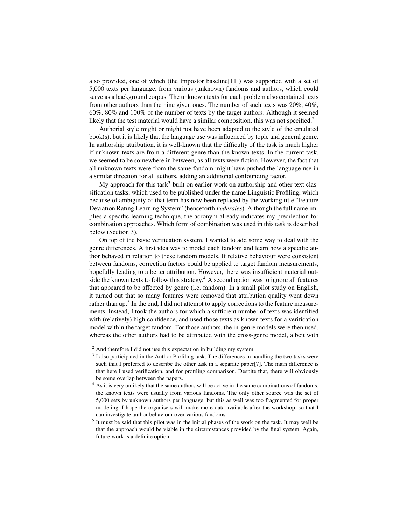also provided, one of which (the Impostor baseline[11]) was supported with a set of 5,000 texts per language, from various (unknown) fandoms and authors, which could serve as a background corpus. The unknown texts for each problem also contained texts from other authors than the nine given ones. The number of such texts was 20%, 40%, 60%, 80% and 100% of the number of texts by the target authors. Although it seemed likely that the test material would have a similar composition, this was not specified.<sup>2</sup>

Authorial style might or might not have been adapted to the style of the emulated book(s), but it is likely that the language use was influenced by topic and general genre. In authorship attribution, it is well-known that the difficulty of the task is much higher if unknown texts are from a different genre than the known texts. In the current task, we seemed to be somewhere in between, as all texts were fiction. However, the fact that all unknown texts were from the same fandom might have pushed the language use in a similar direction for all authors, adding an additional confounding factor.

My approach for this task<sup>3</sup> built on earlier work on authorship and other text classification tasks, which used to be published under the name Linguistic Profiling, which because of ambiguity of that term has now been replaced by the working title "Feature Deviation Rating Learning System" (henceforth *Federales*). Although the full name implies a specific learning technique, the acronym already indicates my predilection for combination approaches. Which form of combination was used in this task is described below (Section 3).

On top of the basic verification system, I wanted to add some way to deal with the genre differences. A first idea was to model each fandom and learn how a specific author behaved in relation to these fandom models. If relative behaviour were consistent between fandoms, correction factors could be applied to target fandom measurements, hopefully leading to a better attribution. However, there was insufficient material outside the known texts to follow this strategy.<sup>4</sup> A second option was to ignore all features that appeared to be affected by genre (i.e. fandom). In a small pilot study on English, it turned out that so many features were removed that attribution quality went down rather than up.<sup>5</sup> In the end, I did not attempt to apply corrections to the feature measurements. Instead, I took the authors for which a sufficient number of texts was identified with (relatively) high confidence, and used those texts as known texts for a verification model within the target fandom. For those authors, the in-genre models were then used, whereas the other authors had to be attributed with the cross-genre model, albeit with

<sup>&</sup>lt;sup>2</sup> And therefore I did not use this expectation in building my system.

 $3$  I also participated in the Author Profiling task. The differences in handling the two tasks were such that I preferred to describe the other task in a separate paper[7]. The main difference is that here I used verification, and for profiling comparison. Despite that, there will obviously be some overlap between the papers.

<sup>&</sup>lt;sup>4</sup> As it is very unlikely that the same authors will be active in the same combinations of fandoms, the known texts were usually from various fandoms. The only other source was the set of 5,000 sets by unknown authors per language, but this as well was too fragmented for proper modeling. I hope the organisers will make more data available after the workshop, so that I can investigate author behaviour over various fandoms.

<sup>&</sup>lt;sup>5</sup> It must be said that this pilot was in the initial phases of the work on the task. It may well be that the approach would be viable in the circumstances provided by the final system. Again, future work is a definite option.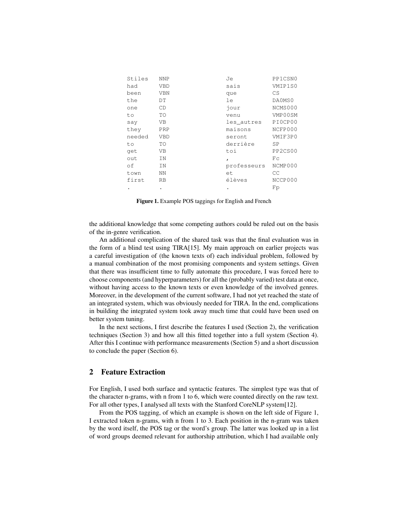| Stiles | <b>NNP</b> | Je           | PP1CSN0 |
|--------|------------|--------------|---------|
| had    | <b>VBD</b> | sais         | VMIP1S0 |
| been   | <b>VBN</b> | que          | CS      |
| the    | DT         | le           | DA0MS0  |
| one    | CD         | jour         | NCMS000 |
| to     | TO         | venu         | VMP00SM |
| say    | VB         | les_autres   | PIOCPO0 |
| they   | PRP        | maisons      | NCFP000 |
| needed | <b>VBD</b> | seront       | VMIF3P0 |
| to     | TO         | derrière     | SP      |
| qet    | VB         | toi          | PP2CS00 |
| out    | IN         | $\mathbf{r}$ | Fс      |
| оf     | ΙN         | professeurs  | NCMP000 |
| town   | ΝN         | et           | CC      |
| first  | <b>RB</b>  | élèves       | NCCP000 |
|        | ٠          | ٠            | Fp      |

Figure 1. Example POS taggings for English and French

the additional knowledge that some competing authors could be ruled out on the basis of the in-genre verification.

An additional complication of the shared task was that the final evaluation was in the form of a blind test using TIRA[15]. My main approach on earlier projects was a careful investigation of (the known texts of) each individual problem, followed by a manual combination of the most promising components and system settings. Given that there was insufficient time to fully automate this procedure, I was forced here to choose components (and hyperparameters) for all the (probably varied) test data at once, without having access to the known texts or even knowledge of the involved genres. Moreover, in the development of the current software, I had not yet reached the state of an integrated system, which was obviously needed for TIRA. In the end, complications in building the integrated system took away much time that could have been used on better system tuning.

In the next sections, I first describe the features I used (Section 2), the verification techniques (Section 3) and how all this fitted together into a full system (Section 4). After this I continue with performance measurements (Section 5) and a short discussion to conclude the paper (Section 6).

### 2 Feature Extraction

For English, I used both surface and syntactic features. The simplest type was that of the character n-grams, with n from 1 to 6, which were counted directly on the raw text. For all other types, I analysed all texts with the Stanford CoreNLP system[12].

From the POS tagging, of which an example is shown on the left side of Figure 1, I extracted token n-grams, with n from 1 to 3. Each position in the n-gram was taken by the word itself, the POS tag or the word's group. The latter was looked up in a list of word groups deemed relevant for authorship attribution, which I had available only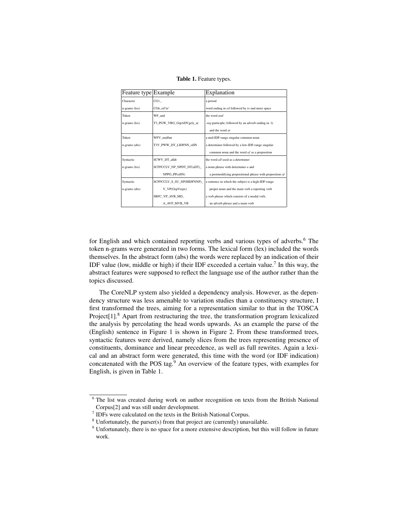#### Table 1. Feature types.

| Feature type Example |                           | Explanation                                                |
|----------------------|---------------------------|------------------------------------------------------------|
| Character            | $CG1$ .                   | a period                                                   |
| $n$ -grams (lex)     | CG6 ed~to~                | word ending in ed followed by to and more space            |
| Token                | WF and                    | the word and                                               |
| n-grams (lex)        | T3 PGW VBG GrpADVgely at  | <i>ing-participle, followed by an adverb ending in -ly</i> |
|                      |                           | and the word at                                            |
| Token                | WFV midfnn                | a mid-IDF-range singular common noun                       |
| n-grams (abs)        | T3V_PWW_DT_LIDFNN_ofIN    | a determiner followed by a low-IDF-range singular          |
|                      |                           | common noun and the word of as a preposition               |
| Syntactic            | SCWV DT alldt             | the word all used as a determiner                          |
| $n$ -grams (lex)     | SCFFCCLV NP NPDT DT(aDT)  | a noun phrase with determiner $a$ and                      |
|                      | NPPO PP(ofIN)             | a postmodifying prepositional phrase with preposition $of$ |
| Syntactic            | SCFFCCLV S SU NP(HIDFNNP) | a sentence in which the subject is a high-IDF-range        |
| n-grams (abs)        | V VP(GrpVrepx)            | proper noun and the main verb a reporting verb             |
|                      | SRFC VP AVB MD            | a verb phrase which consists of a modal verb,              |
|                      | A AVP MVB VB              | an adverb phrase and a main verb                           |

for English and which contained reporting verbs and various types of adverbs.<sup>6</sup> The token n-grams were generated in two forms. The lexical form (lex) included the words themselves. In the abstract form (abs) the words were replaced by an indication of their IDF value (low, middle or high) if their IDF exceeded a certain value.<sup>7</sup> In this way, the abstract features were supposed to reflect the language use of the author rather than the topics discussed.

The CoreNLP system also yielded a dependency analysis. However, as the dependency structure was less amenable to variation studies than a constituency structure, I first transformed the trees, aiming for a representation similar to that in the TOSCA Project<sup>[1]</sup>.<sup>8</sup> Apart from restructuring the tree, the transformation program lexicalized the analysis by percolating the head words upwards. As an example the parse of the (English) sentence in Figure 1 is shown in Figure 2. From these transformed trees, syntactic features were derived, namely slices from the trees representing presence of constituents, dominance and linear precedence, as well as full rewrites. Again a lexical and an abstract form were generated, this time with the word (or IDF indication) concatenated with the POS tag.<sup>9</sup> An overview of the feature types, with examples for English, is given in Table 1.

<sup>&</sup>lt;sup>6</sup> The list was created during work on author recognition on texts from the British National Corpus[2] and was still under development.

<sup>&</sup>lt;sup>7</sup> IDFs were calculated on the texts in the British National Corpus.

<sup>8</sup> Unfortunately, the parser(s) from that project are (currently) unavailable.

 $9$  Unfortunately, there is no space for a more extensive description, but this will follow in future work.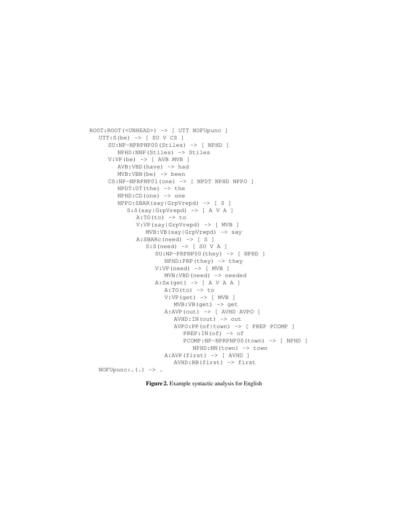```
ROOT:ROOT(<UNHEAD>) -> [ UTT NOFUpunc ]
UTTS(be) \rightarrow [SU V CS]SU:NP-NPRPNP00(Stiles) -> [ NPHD ]
      NPHD:NNP(Stiles) -> Stiles
   V:VP(be) \rightarrow [AVB MVB]AVB:VBD(have) -> had
      MVB:VBN(be) -> been
   CS:NP-NPRPNP01(one) -> [ NPDT NPHD NPPO ]
      NPDT:DT(the) -> the
      NPHD:CD(one) -> one
      NPPO:SBAR(say|GrpVrepd) -> [ S ]
         S:S(say|GrpVrepd) -> [ A V A ]
            A:TO(to) \rightarrow toV:VP(say|GrpVrepd) -> [ MVB ]
               MVB:VB(say|GrpVrepd) -> say
            A:SBARC(need) -> S \midS: S(need) \rightarrow \lceil SU \vee A \rceilSU:NP-PRPNP00(they) -> [ NPHD ]
                     NPHD:PRP(they) -> they
                  V:VP(need) -> [ MVB ]
                     MVB:VBD(need) -> needed
                  A:Sx (get) \rightarrow [ A V A A ]
                     A:TO(to) \rightarrow toV:VP(get) -> [ MVB ]
                        MVB:VB(get) -> get
                     A:AVP(out) -> [ AVHD AVPO ]
                       AVHD:IN(out) -> out
                        AVPO:PP(of|town) -> [ PREP PCOMP ]
                          PREF:IN(of) -> of
                          PCOMP:NP-NPRPNP00(town) -> [ NPHD ]
                             NPHD:NN(town) -> town
                     A:AVP(first) \rightarrow [AVHD]AVHD:RB(first) -> first
 NOFUpunc:.(.) \rightarrow.
```

```
Figure 2. Example syntactic analysis for English
```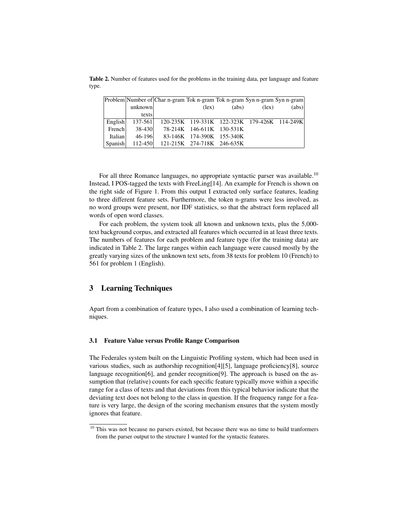Table 2. Number of features used for the problems in the training data, per language and feature type.

|         |             | Problem Number of Char n-gram Tok n-gram Tok n-gram Syn n-gram Syn n-gram |                           |       |                |                                              |
|---------|-------------|---------------------------------------------------------------------------|---------------------------|-------|----------------|----------------------------------------------|
|         | unknown     |                                                                           | $(\text{lex})$            | (abs) | $(\text{lex})$ | (abs)                                        |
|         | texts       |                                                                           |                           |       |                |                                              |
| English | $137 - 561$ |                                                                           |                           |       |                | 120-235K 119-331K 122-323K 179-426K 114-249K |
| French  | 38-430      |                                                                           | 78-214K 146-611K 130-531K |       |                |                                              |
| Italian | $46 - 196$  |                                                                           | 83-146K 174-390K 155-340K |       |                |                                              |
| Spanish | $112 - 450$ | 121-215K 274-718K 246-635K                                                |                           |       |                |                                              |

For all three Romance languages, no appropriate syntactic parser was available.<sup>10</sup> Instead, I POS-tagged the texts with FreeLing[14]. An example for French is shown on the right side of Figure 1. From this output I extracted only surface features, leading to three different feature sets. Furthermore, the token n-grams were less involved, as no word groups were present, nor IDF statistics, so that the abstract form replaced all words of open word classes.

For each problem, the system took all known and unknown texts, plus the 5,000 text background corpus, and extracted all features which occurred in at least three texts. The numbers of features for each problem and feature type (for the training data) are indicated in Table 2. The large ranges within each language were caused mostly by the greatly varying sizes of the unknown text sets, from 38 texts for problem 10 (French) to 561 for problem 1 (English).

### 3 Learning Techniques

Apart from a combination of feature types, I also used a combination of learning techniques.

### 3.1 Feature Value versus Profile Range Comparison

The Federales system built on the Linguistic Profiling system, which had been used in various studies, such as authorship recognition[4][5], language proficiency[8], source language recognition[6], and gender recognition[9]. The approach is based on the assumption that (relative) counts for each specific feature typically move within a specific range for a class of texts and that deviations from this typical behavior indicate that the deviating text does not belong to the class in question. If the frequency range for a feature is very large, the design of the scoring mechanism ensures that the system mostly ignores that feature.

<sup>&</sup>lt;sup>10</sup> This was not because no parsers existed, but because there was no time to build tranformers from the parser output to the structure I wanted for the syntactic features.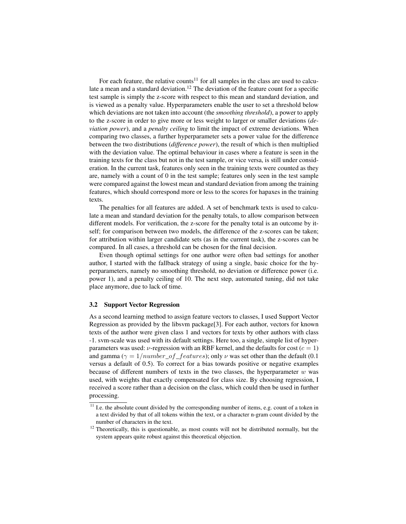For each feature, the relative counts<sup>11</sup> for all samples in the class are used to calculate a mean and a standard deviation.<sup>12</sup> The deviation of the feature count for a specific test sample is simply the z-score with respect to this mean and standard deviation, and is viewed as a penalty value. Hyperparameters enable the user to set a threshold below which deviations are not taken into account (the *smoothing threshold*), a power to apply to the z-score in order to give more or less weight to larger or smaller deviations (*deviation power*), and a *penalty ceiling* to limit the impact of extreme deviations. When comparing two classes, a further hyperparameter sets a power value for the difference between the two distributions (*difference power*), the result of which is then multiplied with the deviation value. The optimal behaviour in cases where a feature is seen in the training texts for the class but not in the test sample, or vice versa, is still under consideration. In the current task, features only seen in the training texts were counted as they are, namely with a count of 0 in the test sample; features only seen in the test sample were compared against the lowest mean and standard deviation from among the training features, which should correspond more or less to the scores for hapaxes in the training texts.

The penalties for all features are added. A set of benchmark texts is used to calculate a mean and standard deviation for the penalty totals, to allow comparison between different models. For verification, the z-score for the penalty total is an outcome by itself; for comparison between two models, the difference of the z-scores can be taken; for attribution within larger candidate sets (as in the current task), the z-scores can be compared. In all cases, a threshold can be chosen for the final decision.

Even though optimal settings for one author were often bad settings for another author, I started with the fallback strategy of using a single, basic choice for the hyperparameters, namely no smoothing threshold, no deviation or difference power (i.e. power 1), and a penalty ceiling of 10. The next step, automated tuning, did not take place anymore, due to lack of time.

#### 3.2 Support Vector Regression

As a second learning method to assign feature vectors to classes, I used Support Vector Regression as provided by the libsvm package[3]. For each author, vectors for known texts of the author were given class 1 and vectors for texts by other authors with class -1. svm-scale was used with its default settings. Here too, a single, simple list of hyperparameters was used:  $\nu$ -regression with an RBF kernel, and the defaults for cost ( $c = 1$ ) and gamma ( $\gamma = 1/number\_of\_features$ ); only  $\nu$  was set other than the default (0.1) versus a default of 0.5). To correct for a bias towards positive or negative examples because of different numbers of texts in the two classes, the hyperparameter  $w$  was used, with weights that exactly compensated for class size. By choosing regression, I received a score rather than a decision on the class, which could then be used in further processing.

 $\frac{11}{11}$  I.e. the absolute count divided by the corresponding number of items, e.g. count of a token in a text divided by that of all tokens within the text, or a character n-gram count divided by the number of characters in the text.

 $12$  Theoretically, this is questionable, as most counts will not be distributed normally, but the system appears quite robust against this theoretical objection.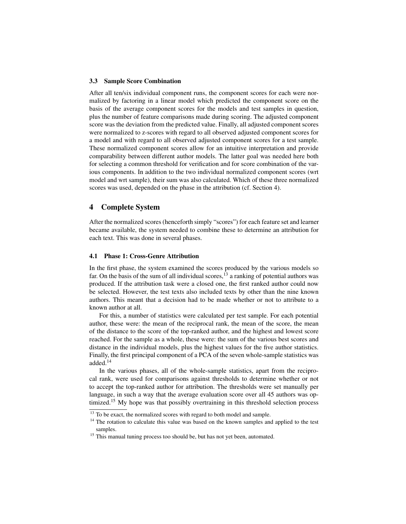#### 3.3 Sample Score Combination

After all ten/six individual component runs, the component scores for each were normalized by factoring in a linear model which predicted the component score on the basis of the average component scores for the models and test samples in question, plus the number of feature comparisons made during scoring. The adjusted component score was the deviation from the predicted value. Finally, all adjusted component scores were normalized to z-scores with regard to all observed adjusted component scores for a model and with regard to all observed adjusted component scores for a test sample. These normalized component scores allow for an intuitive interpretation and provide comparability between different author models. The latter goal was needed here both for selecting a common threshold for verification and for score combination of the various components. In addition to the two individual normalized component scores (wrt model and wrt sample), their sum was also calculated. Which of these three normalized scores was used, depended on the phase in the attribution (cf. Section 4).

### 4 Complete System

After the normalized scores (henceforth simply "scores") for each feature set and learner became available, the system needed to combine these to determine an attribution for each text. This was done in several phases.

#### 4.1 Phase 1: Cross-Genre Attribution

In the first phase, the system examined the scores produced by the various models so far. On the basis of the sum of all individual scores,  $^{13}$  a ranking of potential authors was produced. If the attribution task were a closed one, the first ranked author could now be selected. However, the test texts also included texts by other than the nine known authors. This meant that a decision had to be made whether or not to attribute to a known author at all.

For this, a number of statistics were calculated per test sample. For each potential author, these were: the mean of the reciprocal rank, the mean of the score, the mean of the distance to the score of the top-ranked author, and the highest and lowest score reached. For the sample as a whole, these were: the sum of the various best scores and distance in the individual models, plus the highest values for the five author statistics. Finally, the first principal component of a PCA of the seven whole-sample statistics was added.<sup>14</sup>

In the various phases, all of the whole-sample statistics, apart from the reciprocal rank, were used for comparisons against thresholds to determine whether or not to accept the top-ranked author for attribution. The thresholds were set manually per language, in such a way that the average evaluation score over all 45 authors was optimized.<sup>15</sup> My hope was that possibly overtraining in this threshold selection process

<sup>&</sup>lt;sup>13</sup> To be exact, the normalized scores with regard to both model and sample.

<sup>&</sup>lt;sup>14</sup> The rotation to calculate this value was based on the known samples and applied to the test samples.

<sup>&</sup>lt;sup>15</sup> This manual tuning process too should be, but has not yet been, automated.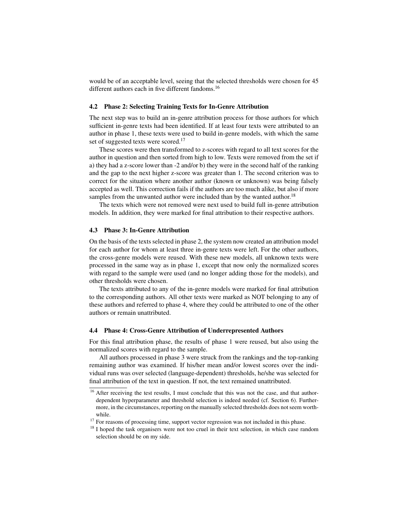would be of an acceptable level, seeing that the selected thresholds were chosen for 45 different authors each in five different fandoms.<sup>16</sup>

#### 4.2 Phase 2: Selecting Training Texts for In-Genre Attribution

The next step was to build an in-genre attribution process for those authors for which sufficient in-genre texts had been identified. If at least four texts were attributed to an author in phase 1, these texts were used to build in-genre models, with which the same set of suggested texts were scored.<sup>17</sup>

These scores were then transformed to z-scores with regard to all text scores for the author in question and then sorted from high to low. Texts were removed from the set if a) they had a z-score lower than -2 and/or b) they were in the second half of the ranking and the gap to the next higher z-score was greater than 1. The second criterion was to correct for the situation where another author (known or unknown) was being falsely accepted as well. This correction fails if the authors are too much alike, but also if more samples from the unwanted author were included than by the wanted author.<sup>18</sup>

The texts which were not removed were next used to build full in-genre attribution models. In addition, they were marked for final attribution to their respective authors.

### 4.3 Phase 3: In-Genre Attribution

On the basis of the texts selected in phase 2, the system now created an attribution model for each author for whom at least three in-genre texts were left. For the other authors, the cross-genre models were reused. With these new models, all unknown texts were processed in the same way as in phase 1, except that now only the normalized scores with regard to the sample were used (and no longer adding those for the models), and other thresholds were chosen.

The texts attributed to any of the in-genre models were marked for final attribution to the corresponding authors. All other texts were marked as NOT belonging to any of these authors and referred to phase 4, where they could be attributed to one of the other authors or remain unattributed.

#### 4.4 Phase 4: Cross-Genre Attribution of Underrepresented Authors

For this final attribution phase, the results of phase 1 were reused, but also using the normalized scores with regard to the sample.

All authors processed in phase 3 were struck from the rankings and the top-ranking remaining author was examined. If his/her mean and/or lowest scores over the individual runs was over selected (language-dependent) thresholds, he/she was selected for final attribution of the text in question. If not, the text remained unattributed.

<sup>&</sup>lt;sup>16</sup> After receiving the test results, I must conclude that this was not the case, and that authordependent hyperparameter and threshold selection is indeed needed (cf. Section 6). Furthermore, in the circumstances, reporting on the manually selected thresholds does not seem worthwhile.

<sup>&</sup>lt;sup>17</sup> For reasons of processing time, support vector regression was not included in this phase.

<sup>&</sup>lt;sup>18</sup> I hoped the task organisers were not too cruel in their text selection, in which case random selection should be on my side.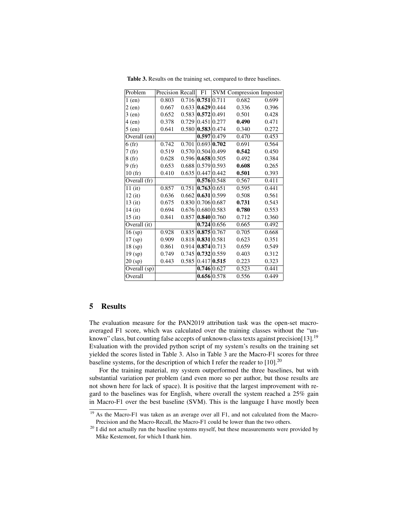| Problem      | Precision Recall |                         | F1          |               | <b>SVM</b> Compression Impostor |       |
|--------------|------------------|-------------------------|-------------|---------------|---------------------------------|-------|
| $1$ (en)     | 0.803            | $0.716$ 0.751 0.711     |             |               | 0.682                           | 0.699 |
| $2$ (en)     | 0.667            | $0.633$   0.629   0.444 |             |               | 0.336                           | 0.396 |
| $3$ (en)     | 0.652            | $0.583$   0.572   0.491 |             |               | 0.501                           | 0.428 |
| $4$ (en)     | 0.378            | 0.729                   | 0.451 0.277 |               | 0.490                           | 0.471 |
| $5$ (en)     | 0.641            | 0.580                   | 0.583 0.474 |               | 0.340                           | 0.272 |
| Overall (en) |                  |                         |             | 0.597 0.479   | 0.470                           | 0.453 |
| 6(fr)        | 0.742            | 0.701                   |             | 0.693 0.702   | 0.691                           | 0.564 |
| 7(fr)        | 0.519            | 0.570                   | 0.504 0.499 |               | 0.542                           | 0.450 |
| 8(fr)        | 0.628            | $0.596$   0.658   0.505 |             |               | 0.492                           | 0.384 |
| 9(fr)        | 0.653            | $0.688$ $ 0.579 0.593$  |             |               | 0.608                           | 0.265 |
| 10(fr)       | 0.410            | 0.635   0.447   0.442   |             |               | 0.501                           | 0.393 |
| Overall (fr) |                  |                         |             | 0.576 0.548   | 0.567                           | 0.411 |
| $11$ (it)    | 0.857            | 0.751                   | 0.763 0.651 |               | 0.595                           | 0.441 |
| $12$ (it)    | 0.636            | 0.662                   | 0.631 0.599 |               | 0.508                           | 0.561 |
| $13$ (it)    | 0.675            | 0.830                   | 0.706 0.687 |               | 0.731                           | 0.543 |
| $14$ (it)    | 0.694            | $0.676$ 0.680 0.583     |             |               | 0.780                           | 0.553 |
| $15$ (it)    | 0.841            | 0.857                   |             | 0.840 0.760   | 0.712                           | 0.360 |
| Overall (it) |                  |                         |             | 0.724 0.656   | 0.665                           | 0.492 |
| $16$ (sp)    | 0.928            | 0.835                   |             | 0.875 0.767   | 0.705                           | 0.668 |
| $17$ (sp)    | 0.909            | $0.818$   0.831   0.581 |             |               | 0.623                           | 0.351 |
| 18 (sp)      | 0.861            | $0.914$   0.874   0.713 |             |               | 0.659                           | 0.549 |
| 19 (sp)      | 0.749            | $0.745$   0.732   0.559 |             |               | 0.403                           | 0.312 |
| 20 (sp)      | 0.443            | 0.585                   |             | $0.417$ 0.515 | 0.223                           | 0.323 |
| Overall (sp) |                  |                         |             | 0.746 0.627   | 0.523                           | 0.441 |
| Overall      |                  |                         |             | 0.656 0.578   | 0.556                           | 0.449 |

Table 3. Results on the training set, compared to three baselines.

## 5 Results

The evaluation measure for the PAN2019 attribution task was the open-set macroaveraged F1 score, which was calculated over the training classes without the "unknown" class, but counting false accepts of unknown-class texts against precision[13].<sup>19</sup> Evaluation with the provided python script of my system's results on the training set yielded the scores listed in Table 3. Also in Table 3 are the Macro-F1 scores for three baseline systems, for the description of which I refer the reader to  $[10]$ <sup>20</sup>

For the training material, my system outperformed the three baselines, but with substantial variation per problem (and even more so per author, but those results are not shown here for lack of space). It is positive that the largest improvement with regard to the baselines was for English, where overall the system reached a 25% gain in Macro-F1 over the best baseline (SVM). This is the language I have mostly been

<sup>&</sup>lt;sup>19</sup> As the Macro-F1 was taken as an average over all F1, and not calculated from the Macro-Precision and the Macro-Recall, the Macro-F1 could be lower than the two others.

 $20$  I did not actually run the baseline systems myself, but these measurements were provided by Mike Kestemont, for which I thank him.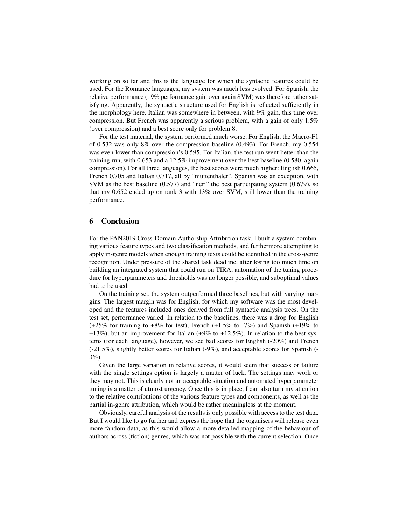working on so far and this is the language for which the syntactic features could be used. For the Romance languages, my system was much less evolved. For Spanish, the relative performance (19% performance gain over again SVM) was therefore rather satisfying. Apparently, the syntactic structure used for English is reflected sufficiently in the morphology here. Italian was somewhere in between, with 9% gain, this time over compression. But French was apparently a serious problem, with a gain of only 1.5% (over compression) and a best score only for problem 8.

For the test material, the system performed much worse. For English, the Macro-F1 of 0.532 was only 8% over the compression baseline (0.493). For French, my 0.554 was even lower than compression's 0.595. For Italian, the test run went better than the training run, with 0.653 and a 12.5% improvement over the best baseline (0.580, again compression). For all three languages, the best scores were much higher: English 0.665, French 0.705 and Italian 0.717, all by "muttenthaler". Spanish was an exception, with SVM as the best baseline (0.577) and "neri" the best participating system (0.679), so that my 0.652 ended up on rank 3 with 13% over SVM, still lower than the training performance.

### 6 Conclusion

For the PAN2019 Cross-Domain Authorship Attribution task, I built a system combining various feature types and two classification methods, and furthermore attempting to apply in-genre models when enough training texts could be identified in the cross-genre recognition. Under pressure of the shared task deadline, after losing too much time on building an integrated system that could run on TIRA, automation of the tuning procedure for hyperparameters and thresholds was no longer possible, and suboptimal values had to be used.

On the training set, the system outperformed three baselines, but with varying margins. The largest margin was for English, for which my software was the most developed and the features included ones derived from full syntactic analysis trees. On the test set, performance varied. In relation to the baselines, there was a drop for English  $(+25\%$  for training to  $+8\%$  for test), French  $(+1.5\%$  to  $-7\%)$  and Spanish  $(+19\%$  to +13%), but an improvement for Italian  $(+9%$  to  $+12.5%$ ). In relation to the best systems (for each language), however, we see bad scores for English (-20%) and French (-21.5%), slightly better scores for Italian (-9%), and acceptable scores for Spanish (- 3%).

Given the large variation in relative scores, it would seem that success or failure with the single settings option is largely a matter of luck. The settings may work or they may not. This is clearly not an acceptable situation and automated hyperparameter tuning is a matter of utmost urgency. Once this is in place, I can also turn my attention to the relative contributions of the various feature types and components, as well as the partial in-genre attribution, which would be rather meaningless at the moment.

Obviously, careful analysis of the results is only possible with access to the test data. But I would like to go further and express the hope that the organisers will release even more fandom data, as this would allow a more detailed mapping of the behaviour of authors across (fiction) genres, which was not possible with the current selection. Once